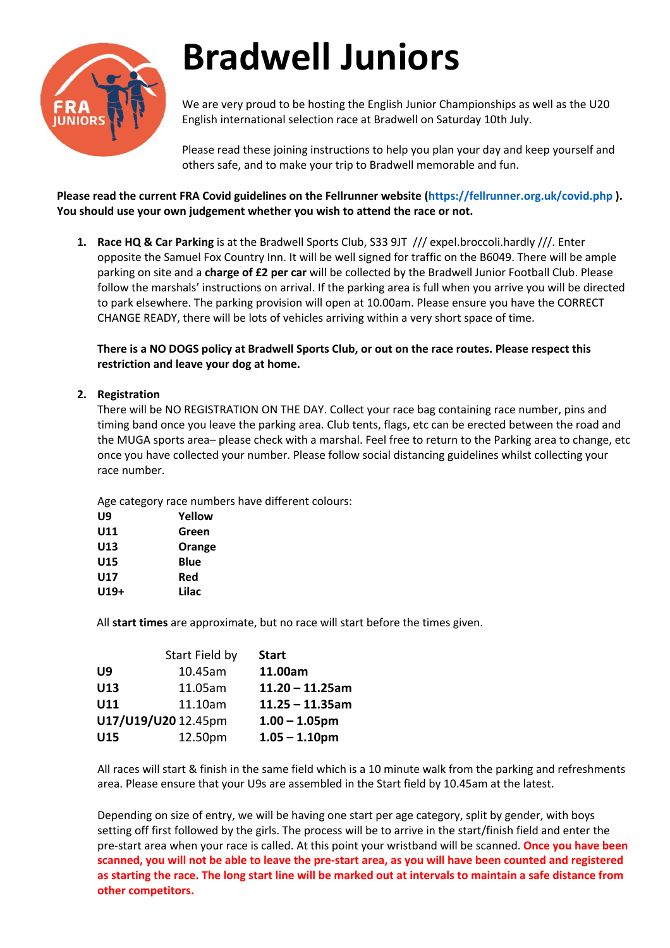

# **Bradwell Juniors**

We are very proud to be hosting the English Junior Championships as well as the U20 English international selection race at Bradwell on Saturday 10th July.

Please read these joining instructions to help you plan your day and keep yourself and others safe, and to make your trip to Bradwell memorable and fun.

## **Please read the current FRA Covid guidelines on the Fellrunner website (https://fellrunner.org.uk/covid.php ). You should use your own judgement whether you wish to attend the race or not.**

**1. Race HQ & Car Parking** is at the Bradwell Sports Club, S33 9JT /// expel.broccoli.hardly ///. Enter opposite the Samuel Fox Country Inn. It will be well signed for traffic on the B6049. There will be ample parking on site and a **charge of £2 per car** will be collected by the Bradwell Junior Football Club. Please follow the marshals' instructions on arrival. If the parking area is full when you arrive you will be directed to park elsewhere. The parking provision will open at 10.00am. Please ensure you have the CORRECT CHANGE READY, there will be lots of vehicles arriving within a very short space of time.

**There is a NO DOGS policy at Bradwell Sports Club, or out on the race routes. Please respect this restriction and leave your dog at home.**

### **2. Registration**

There will be NO REGISTRATION ON THE DAY. Collect your race bag containing race number, pins and timing band once you leave the parking area. Club tents, flags, etc can be erected between the road and the MUGA sports area– please check with a marshal. Feel free to return to the Parking area to change, etc once you have collected your number. Please follow social distancing guidelines whilst collecting your race number.

Age category race numbers have different colours:

| U9   | Yellow |
|------|--------|
| U11  | Green  |
| U13  | Orange |
| U15  | Blue   |
| U17  | Red    |
| U19+ | Lilac  |

All **start times** are approximate, but no race will start before the times given.

|                     | Start Field by | <b>Start</b>       |
|---------------------|----------------|--------------------|
| U9                  | 10.45am        | 11.00am            |
| U13                 | 11.05am        | $11.20 - 11.25$ am |
| U11                 | 11.10am        | $11.25 - 11.35$ am |
| U17/U19/U20 12.45pm |                | $1.00 - 1.05$ pm   |
| U15                 | 12.50pm        | $1.05 - 1.10$ pm   |

All races will start & finish in the same field which is a 10 minute walk from the parking and refreshments area. Please ensure that your U9s are assembled in the Start field by 10.45am at the latest.

Depending on size of entry, we will be having one start per age category, split by gender, with boys setting off first followed by the girls. The process will be to arrive in the start/finish field and enter the pre-start area when your race is called. At this point your wristband will be scanned. **Once you have been scanned, you will not be able to leave the pre-start area, as you will have been counted and registered as starting the race. The long start line will be marked out at intervals to maintain a safe distance from other competitors.**